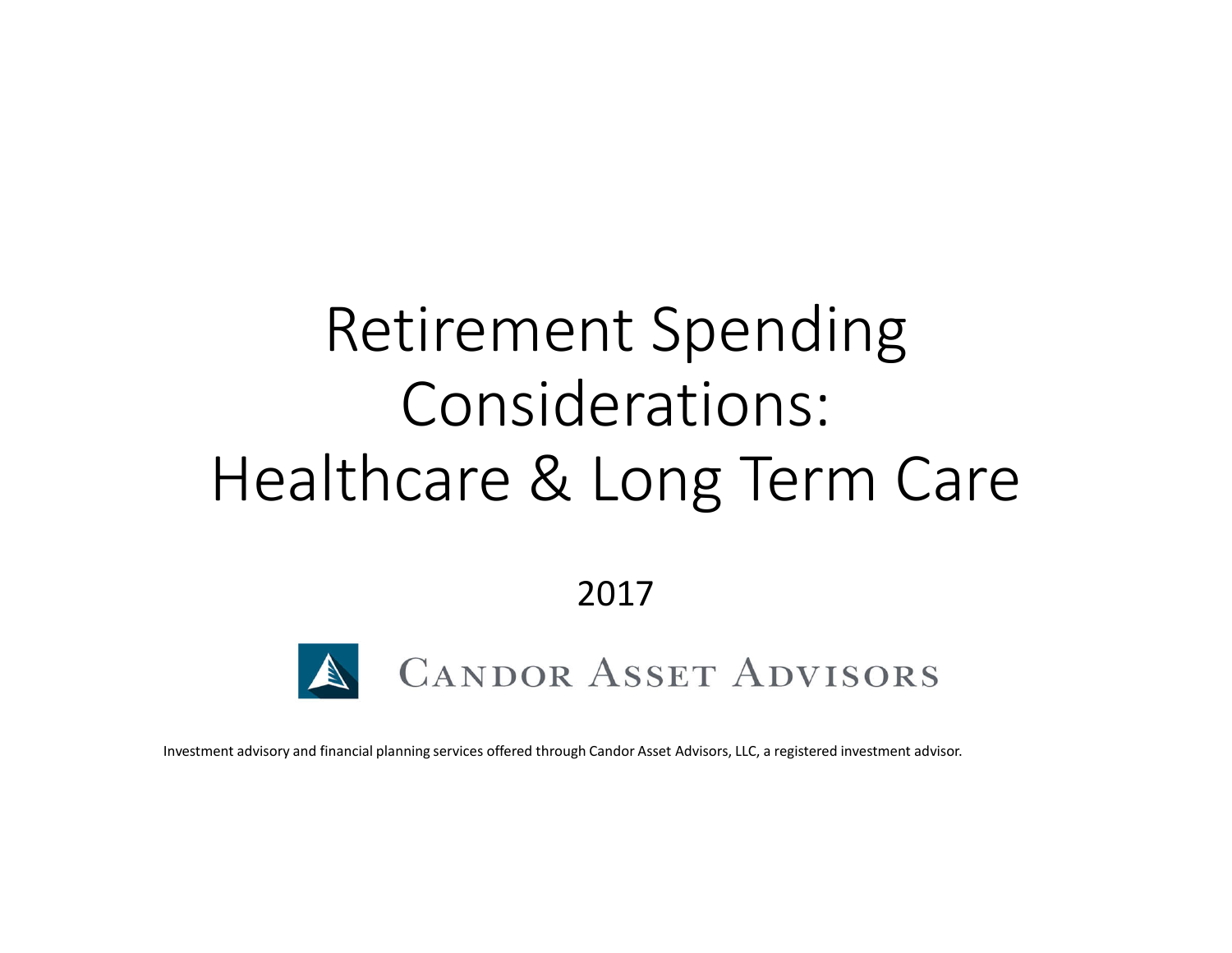# Retirement Spending Considerations: Healthcare & Long Term Care

2017



Investment advisory and financial planning services offered through Candor Asset Advisors, LLC, a registered investment advisor.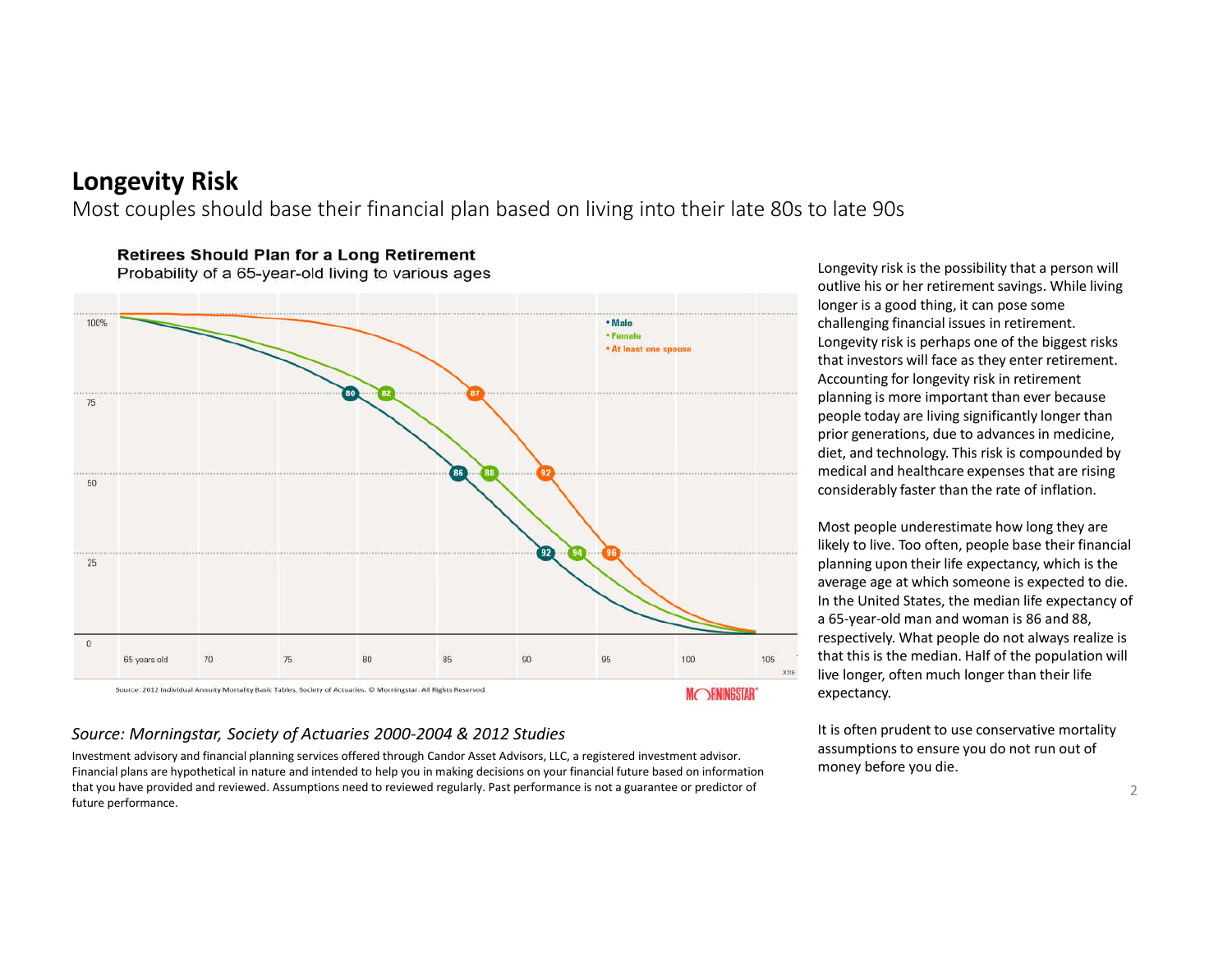#### **Longevity Risk**

Most couples should base their financial plan based on living into their late 80s to late 90s

100% · Male • Female \* At least one spouse 75 50  $25$  $\theta$  $90^{\circ}$ 95 100 105 70 75 80 85 65 years old  $\,$  X116  $\,$ Source: 2012 Individual Annuity Mortality Basic Tables, Society of Actuaries. @ Morningstar. All Rights Reserved. **MORNINGSTAR** 

**Retirees Should Plan for a Long Retirement** 

Probability of a 65-year-old living to various ages

#### *Source: Morningstar, Society of Actuaries 2000-2004 & 2012 Studies*

Investment advisory and financial planning services offered through Candor Asset Advisors, LLC, a registered investment advisor. Financial plans are hypothetical in nature and intended to help you in making decisions on your financial future based on information that you have provided and reviewed. Assumptions need to reviewed regularly. Past performance is not a guarantee or predictor of future performance.

Longevity risk is the possibility that a person will outlive his or her retirement savings. While living longer is a good thing, it can pose some challenging financial issues in retirement. Longevity risk is perhaps one of the biggest risks that investors will face as they enter retirement. Accounting for longevity risk in retirement planning is more important than ever because people today are living significantly longer than prior generations, due to advances in medicine, diet, and technology. This risk is compounded by medical and healthcare expenses that are rising considerably faster than the rate of inflation.

Most people underestimate how long they are likely to live. Too often, people base their financial planning upon their life expectancy, which is the average age at which someone is expected to die. In the United States, the median life expectancy of a 65-year-old man and woman is 86 and 88, respectively. What people do not always realize is that this is the median. Half of the population will live longer, often much longer than their life expectancy.

It is often prudent to use conservative mortality assumptions to ensure you do not run out of money before you die.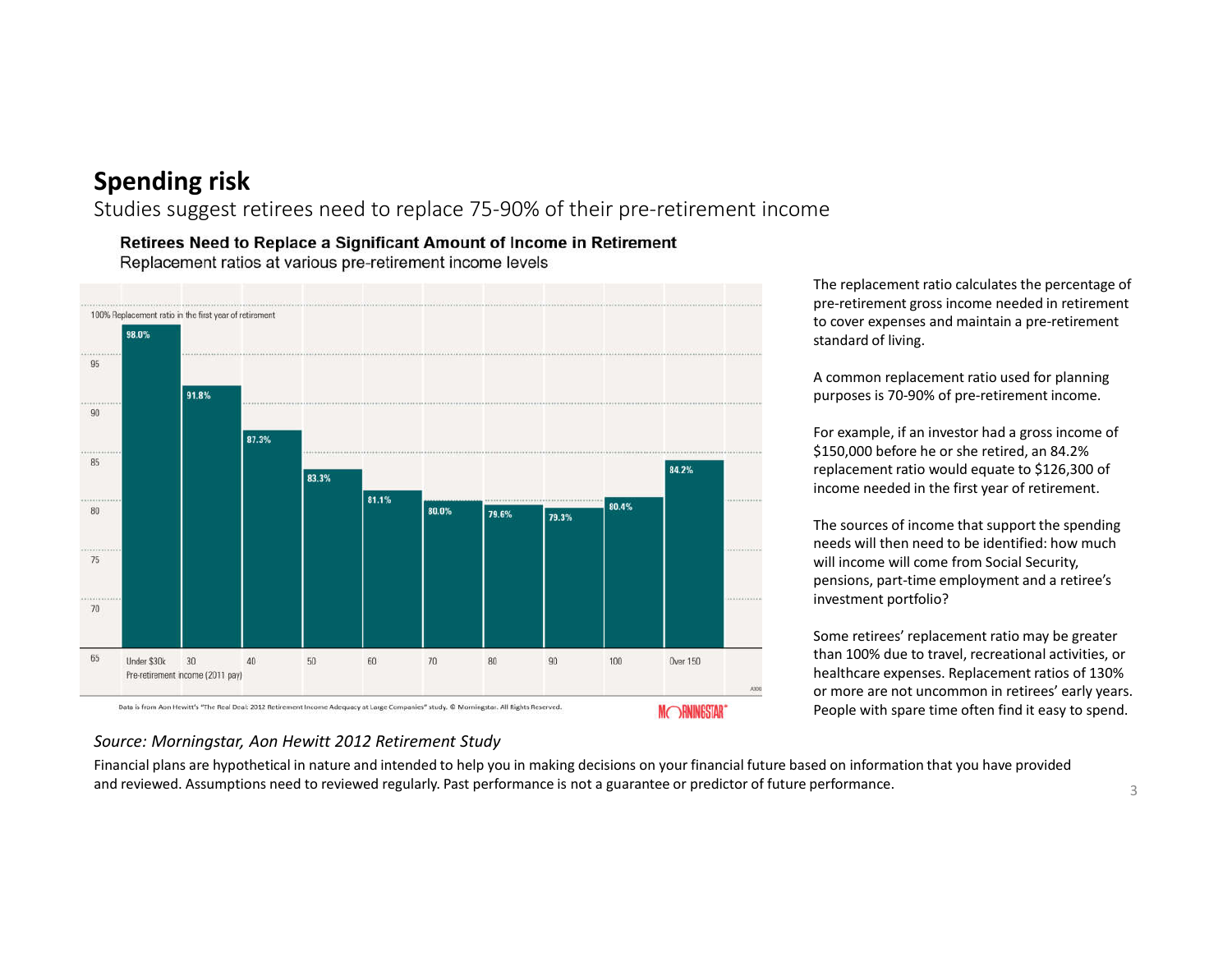Studies suggest retirees need to replace 75-90% of their pre-retirement income

Retirees Need to Replace a Significant Amount of Income in Retirement Replacement ratios at various pre-retirement income levels



The replacement ratio calculates the percentage of pre-retirement gross income needed in retirement to cover expenses and maintain a pre-retirement standard of living.

A common replacement ratio used for planning purposes is 70-90% of pre-retirement income.

For example, if an investor had a gross income of \$150,000 before he or she retired, an 84.2% replacement ratio would equate to \$126,300 of income needed in the first year of retirement.

The sources of income that support the spending needs will then need to be identified: how much will income will come from Social Security, pensions, part-time employment and a retiree's investment portfolio?

Some retirees' replacement ratio may be greater than 100% due to travel, recreational activities, or healthcare expenses. Replacement ratios of 130% or more are not uncommon in retirees' early years. People with spare time often find it easy to spend.

#### *Source: Morningstar, Aon Hewitt 2012 Retirement Study*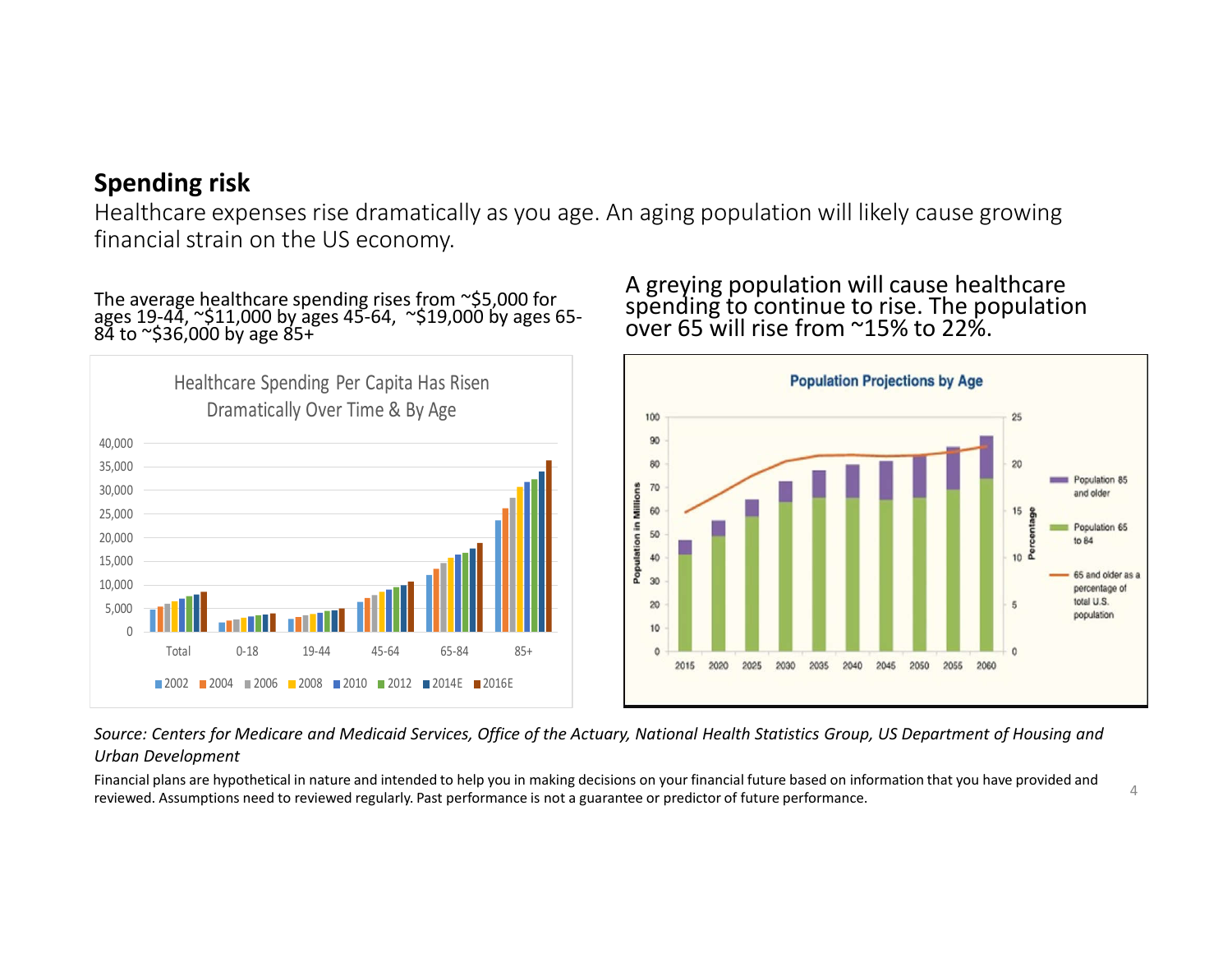Healthcare expenses rise dramatically as you age. An aging population will likely cause growing financial strain on the US economy.

The average healthcare spending rises from ~\$5,000 for ages 19-44, ~\$11,000 by ages 45-64, ~\$19,000 by ages 65-<br>84 to ~\$36,000 by age 85+



#### A greying population will cause healthcare spending to continue to rise. The population over 65 will rise from ~15% to 22%.



*Source: Centers for Medicare and Medicaid Services, Office of the Actuary, National Health Statistics Group, US Department of Housing and Urban Development*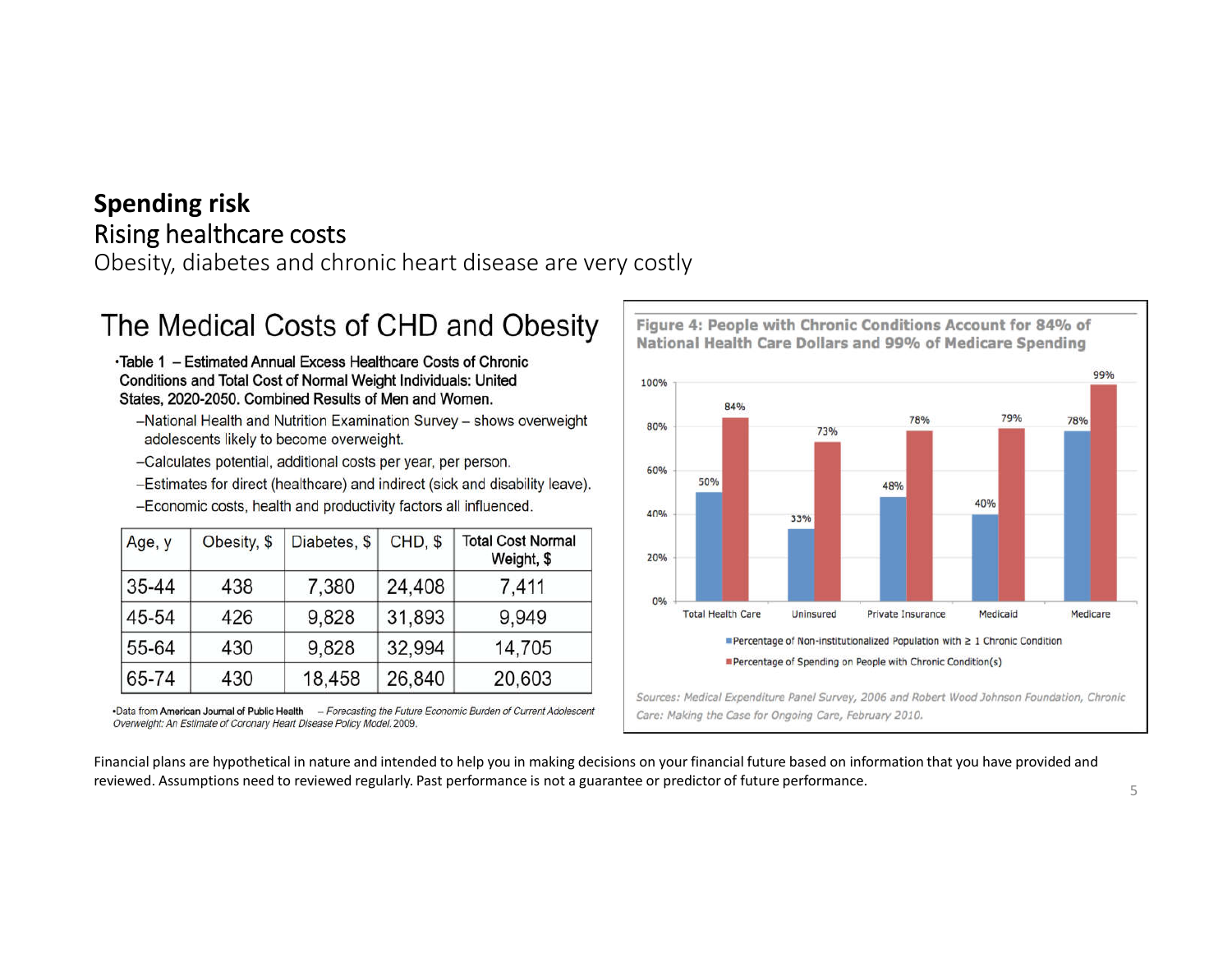Obesity, diabetes and chronic heart disease are very costly

## The Medical Costs of CHD and Obesity

•Table 1 - Estimated Annual Excess Healthcare Costs of Chronic Conditions and Total Cost of Normal Weight Individuals: United States, 2020-2050. Combined Results of Men and Women.

- -National Health and Nutrition Examination Survey shows overweight adolescents likely to become overweight.
- -Calculates potential, additional costs per year, per person.
- -Estimates for direct (healthcare) and indirect (sick and disability leave).
- -Economic costs, health and productivity factors all influenced.

| Age, y | Obesity, \$ | Diabetes, \$ | CHD, \$ | <b>Total Cost Normal</b><br>Weight, \$ |
|--------|-------------|--------------|---------|----------------------------------------|
| 35-44  | 438         | 7,380        | 24,408  | 7,411                                  |
| 45-54  | 426         | 9,828        | 31,893  | 9,949                                  |
| 55-64  | 430         | 9,828        | 32,994  | 14,705                                 |
| 65-74  | 430         | 18,458       | 26,840  | 20,603                                 |

-Data from American Journal of Public Health - Forecasting the Future Economic Burden of Current Adolescent Overweight: An Estimate of Coronary Heart Disease Policy Model. 2009.

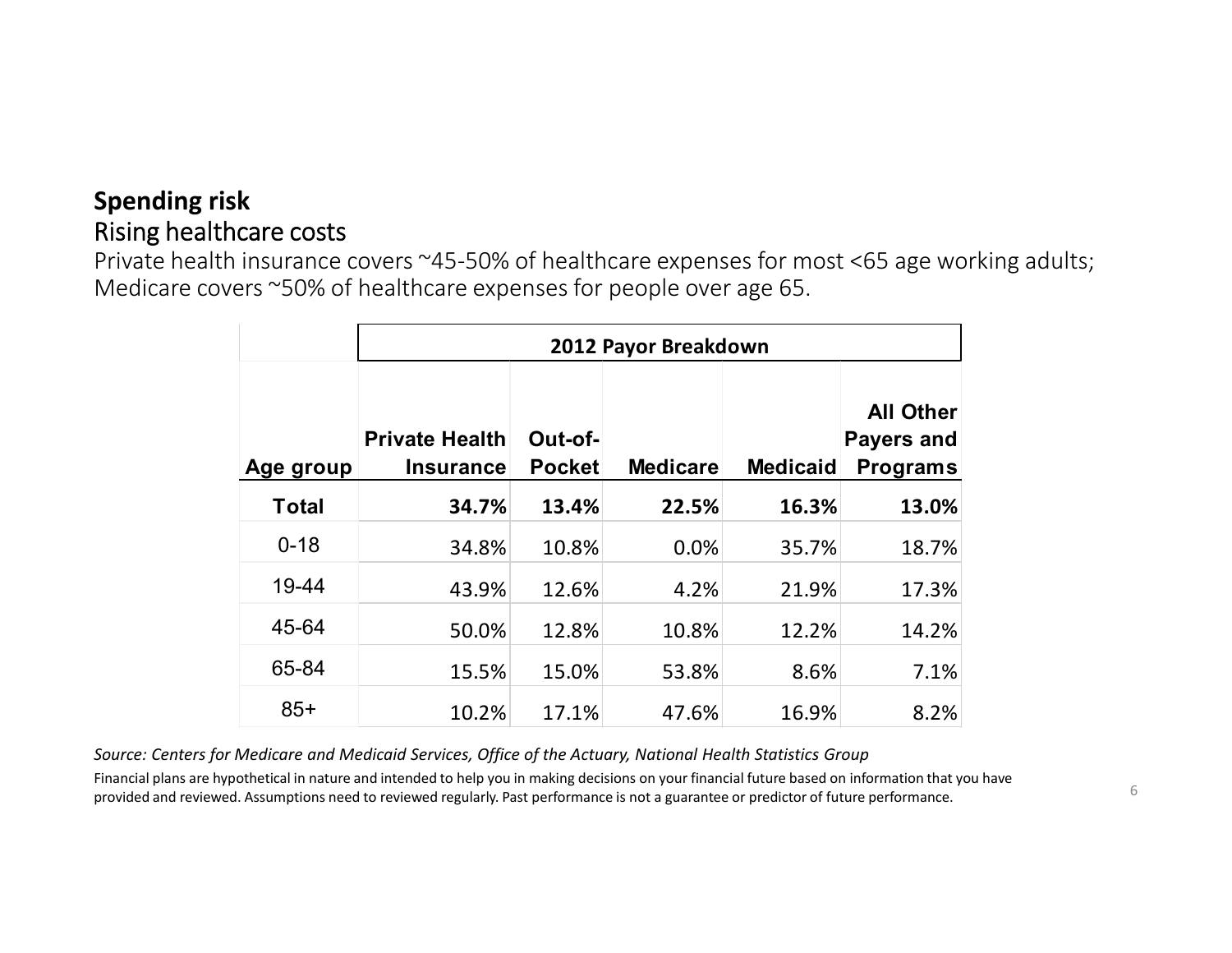Private health insurance covers ~45-50% of healthcare expenses for most <65 age working adults; Medicare covers ~50% of healthcare expenses for people over age 65.

|              | 2012 Payor Breakdown                      |                          |                 |                 |                                                          |  |  |  |
|--------------|-------------------------------------------|--------------------------|-----------------|-----------------|----------------------------------------------------------|--|--|--|
| Age group    | <b>Private Health</b><br><b>Insurance</b> | Out-of-<br><b>Pocket</b> | <b>Medicare</b> | <b>Medicaid</b> | <b>All Other</b><br><b>Payers and</b><br><b>Programs</b> |  |  |  |
| <b>Total</b> | 34.7%                                     | 13.4%                    | 22.5%           | 16.3%           | 13.0%                                                    |  |  |  |
| $0 - 18$     | 34.8%                                     | 10.8%                    | 0.0%            | 35.7%           | 18.7%                                                    |  |  |  |
| 19-44        | 43.9%                                     | 12.6%                    | 4.2%            | 21.9%           | 17.3%                                                    |  |  |  |
| 45-64        | 50.0%                                     | 12.8%                    | 10.8%           | 12.2%           | 14.2%                                                    |  |  |  |
| 65-84        | 15.5%                                     | 15.0%                    | 53.8%           | 8.6%            | 7.1%                                                     |  |  |  |
| $85+$        | 10.2%                                     | 17.1%                    | 47.6%           | 16.9%           | 8.2%                                                     |  |  |  |

*Source: Centers for Medicare and Medicaid Services, Office of the Actuary, National Health Statistics Group*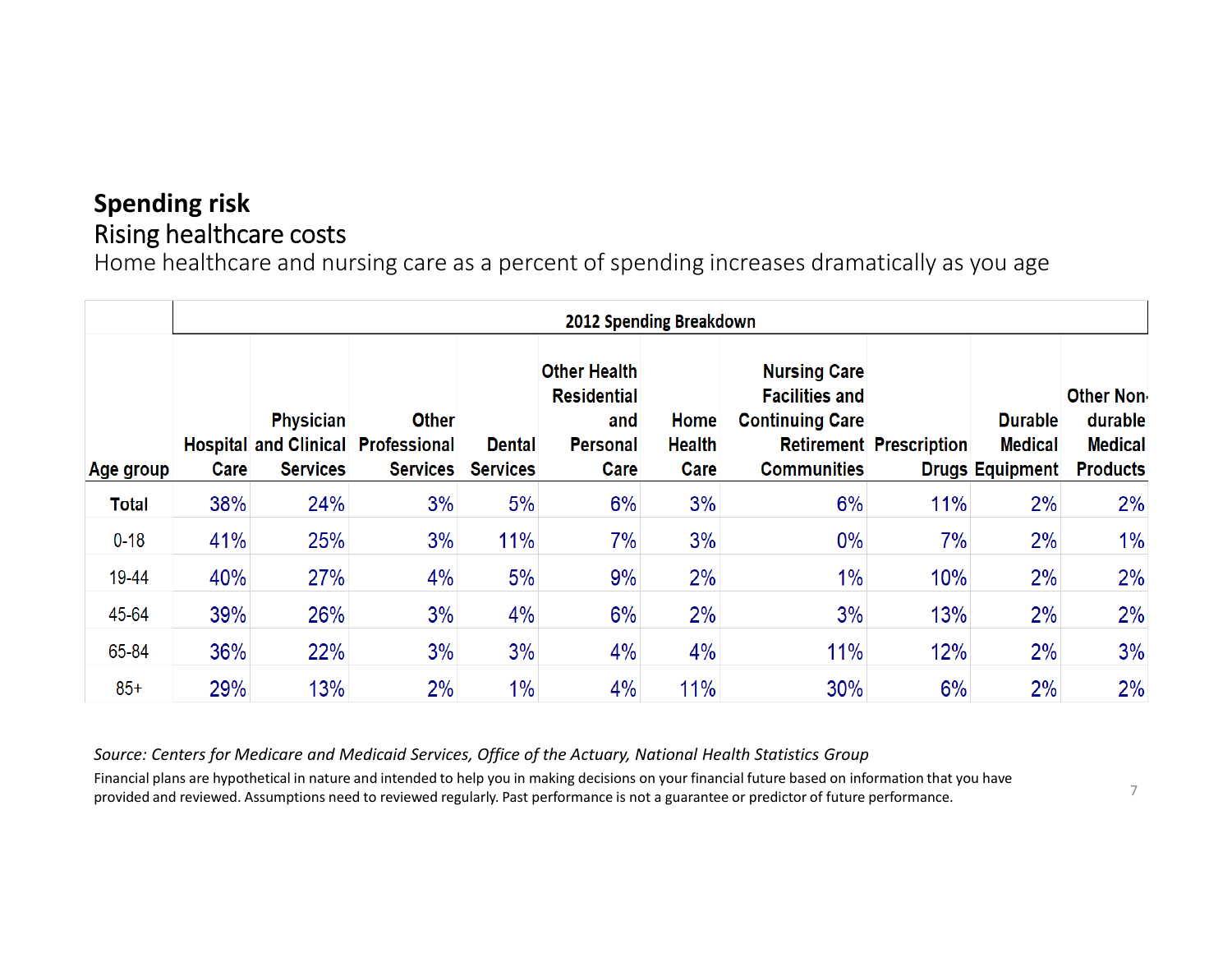Home healthcare and nursing care as a percent of spending increases dramatically as you age

|              | <b>2012 Spending Breakdown</b> |                                     |                                                                              |                                  |                                                                             |                               |                                                                                              |                                |                                                            |                                                                   |  |  |
|--------------|--------------------------------|-------------------------------------|------------------------------------------------------------------------------|----------------------------------|-----------------------------------------------------------------------------|-------------------------------|----------------------------------------------------------------------------------------------|--------------------------------|------------------------------------------------------------|-------------------------------------------------------------------|--|--|
| Age group    | Care                           | <b>Physician</b><br><b>Services</b> | <b>Other</b><br><b>Hospital and Clinical Professional</b><br><b>Services</b> | <b>Dental</b><br><b>Services</b> | <b>Other Health</b><br><b>Residential</b><br>and<br><b>Personal</b><br>Care | Home<br><b>Health</b><br>Care | <b>Nursing Care</b><br><b>Facilities and</b><br><b>Continuing Care</b><br><b>Communities</b> | <b>Retirement Prescription</b> | <b>Durable</b><br><b>Medical</b><br><b>Drugs Equipment</b> | <b>Other Non-</b><br>durable<br><b>Medical</b><br><b>Products</b> |  |  |
| <b>Total</b> | 38%                            | 24%                                 | 3%                                                                           | 5%                               | 6%                                                                          | 3%                            | 6%                                                                                           | 11%                            | 2%                                                         | 2%                                                                |  |  |
| $0 - 18$     | 41%                            | 25%                                 | 3%                                                                           | 11%                              | 7%                                                                          | 3%                            | $0\%$                                                                                        | 7%                             | 2%                                                         | $1\%$                                                             |  |  |
| 19-44        | 40%                            | 27%                                 | 4%                                                                           | 5%                               | 9%                                                                          | 2%                            | 1%                                                                                           | 10%                            | 2%                                                         | 2%                                                                |  |  |
| 45-64        | 39%                            | 26%                                 | 3%                                                                           | 4%                               | 6%                                                                          | 2%                            | 3%                                                                                           | 13%                            | 2%                                                         | 2%                                                                |  |  |
| 65-84        | 36%                            | 22%                                 | 3%                                                                           | 3%                               | 4%                                                                          | 4%                            | 11%                                                                                          | 12%                            | 2%                                                         | 3%                                                                |  |  |
| $85+$        | 29%                            | 13%                                 | 2%                                                                           | $1\%$                            | 4%                                                                          | 11%                           | 30%                                                                                          | 6%                             | 2%                                                         | 2%                                                                |  |  |

*Source: Centers for Medicare and Medicaid Services, Office of the Actuary, National Health Statistics Group*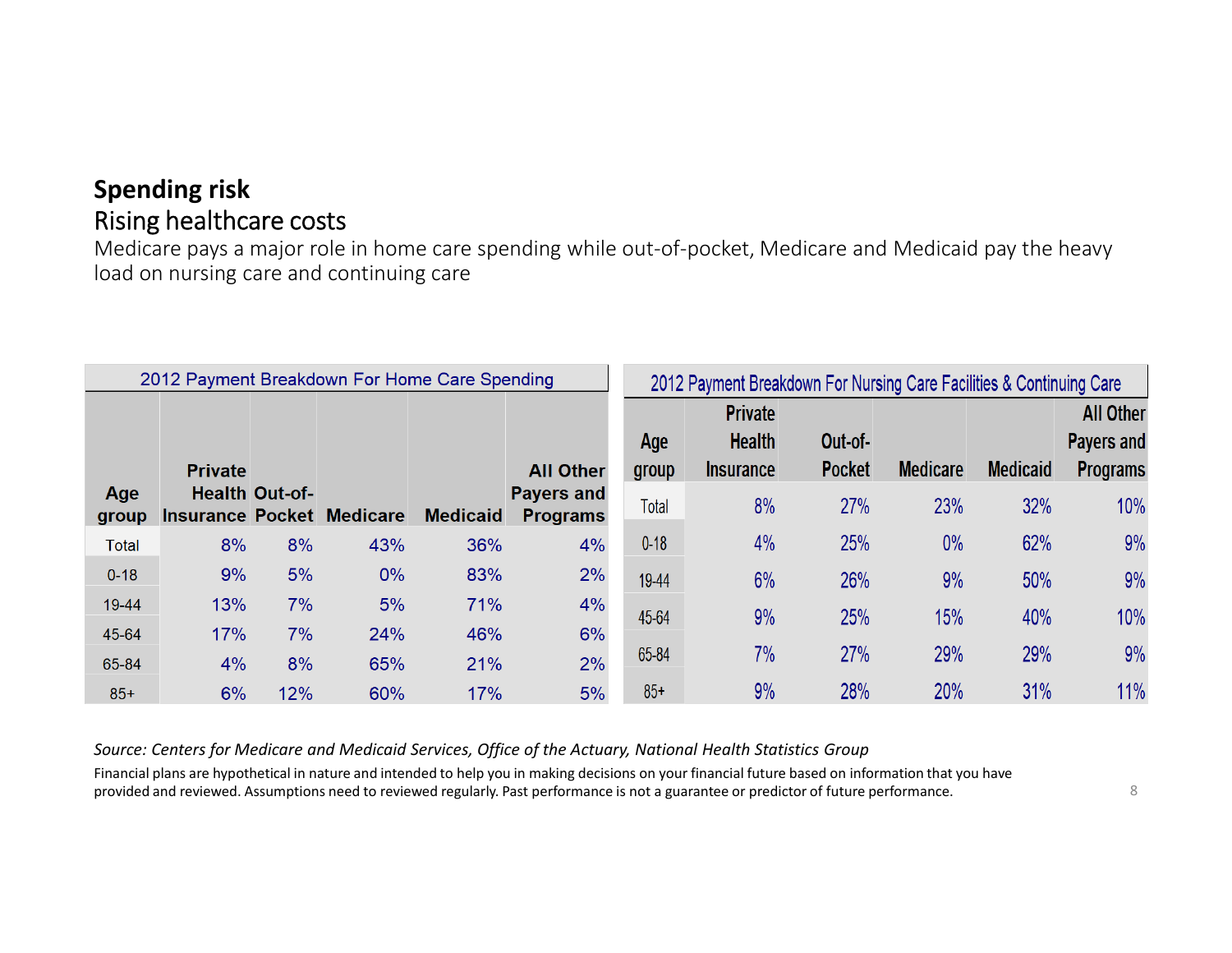Medicare pays a major role in home care spending while out-of-pocket, Medicare and Medicaid pay the heavy load on nursing care and continuing care

|              | 2012 Payment Breakdown For Home Care Spending |                       |       |                 |                                       | 2012 Payment Breakdown For Nursing Care Facilities & Continuing Care |                                                     |                          |                 |                 |                                                          |
|--------------|-----------------------------------------------|-----------------------|-------|-----------------|---------------------------------------|----------------------------------------------------------------------|-----------------------------------------------------|--------------------------|-----------------|-----------------|----------------------------------------------------------|
| Age          | <b>Private</b>                                | <b>Health Out-of-</b> |       |                 | <b>All Other</b><br><b>Payers and</b> | Age<br>group                                                         | <b>Private</b><br><b>Health</b><br><b>Insurance</b> | Out-of-<br><b>Pocket</b> | <b>Medicare</b> | <b>Medicaid</b> | <b>All Other</b><br><b>Payers and</b><br><b>Programs</b> |
| group        | <b>Insurance Pocket Medicare</b>              |                       |       | <b>Medicaid</b> | <b>Programs</b>                       | <b>Total</b>                                                         | 8%                                                  | 27%                      | 23%             | 32%             | 10%                                                      |
| <b>Total</b> | 8%                                            | 8%                    | 43%   | 36%             | 4%                                    | $0 - 18$                                                             | 4%                                                  | 25%                      | $0\%$           | 62%             | 9%                                                       |
| $0 - 18$     | 9%                                            | 5%                    | $0\%$ | 83%             | 2%                                    | 19-44                                                                | 6%                                                  | 26%                      | 9%              | 50%             | 9%                                                       |
| 19-44        | 13%                                           | 7%                    | 5%    | 71%             | 4%                                    | 45-64                                                                | 9%                                                  | 25%                      | 15%             | 40%             | 10%                                                      |
| 45-64        | 17%                                           | 7%                    | 24%   | 46%             | 6%                                    |                                                                      |                                                     |                          |                 |                 |                                                          |
| 65-84        | 4%                                            | 8%                    | 65%   | 21%             | 2%                                    | 65-84                                                                | 7%                                                  | 27%                      | 29%             | 29%             | 9%                                                       |
| $85+$        | 6%                                            | 12%                   | 60%   | 17%             | 5%                                    | $85+$                                                                | 9%                                                  | 28%                      | 20%             | 31%             | 11%                                                      |

*Source: Centers for Medicare and Medicaid Services, Office of the Actuary, National Health Statistics Group*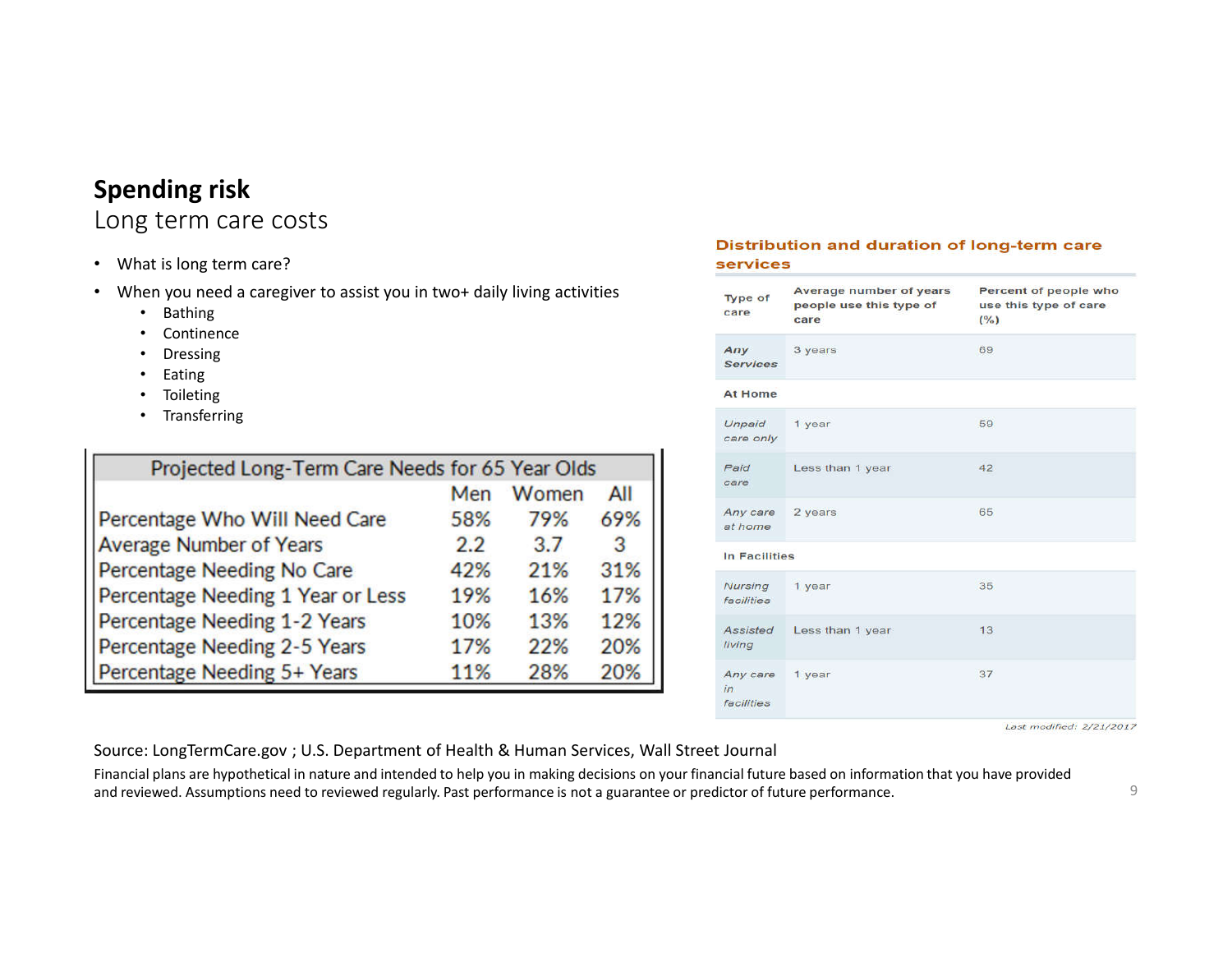## Long term care costs

- What is long term care?
- When you need a caregiver to assist you in two+ daily living activities
	- Bathing
	- Continence
	- Dressing
	- Eating
	- Toileting
	- Transferring

| Projected Long-Term Care Needs for 65 Year Olds |     |       |     |
|-------------------------------------------------|-----|-------|-----|
|                                                 | Men | Women | All |
| Percentage Who Will Need Care                   | 58% | 79%   | 69% |
| <b>Average Number of Years</b>                  | 2.2 | 3.7   | 3   |
| Percentage Needing No Care                      | 42% | 21%   | 31% |
| Percentage Needing 1 Year or Less               | 19% | 16%   | 17% |
| Percentage Needing 1-2 Years                    | 10% | 13%   | 12% |
| Percentage Needing 2-5 Years                    | 17% | 22%   | 20% |
| Percentage Needing 5+ Years                     | 11% | 28%   | 20% |

#### Distribution and duration of long-term care **services**

| Type of<br>care              | Average number of years<br>people use this type of<br>care | Percent of people who<br>use this type of care<br>(%) |
|------------------------------|------------------------------------------------------------|-------------------------------------------------------|
| Any<br><b>Services</b>       | 3 years                                                    | 69                                                    |
| <b>At Home</b>               |                                                            |                                                       |
| Unpaid<br>care only          | 1 year                                                     | 59                                                    |
| Paid<br>care                 | Less than 1 year                                           | 42                                                    |
| Any care<br>at home          | 2 years                                                    | 65                                                    |
| In Facilities                |                                                            |                                                       |
| Nursing<br>facilities        | 1 year                                                     | 35                                                    |
| Assisted<br>living           | Less than 1 year                                           | 13                                                    |
| Any care<br>in<br>facilities | 1 year                                                     | 37                                                    |

Last modified: 2/21/2017

Source: LongTermCare.gov ; U.S. Department of Health & Human Services, Wall Street Journal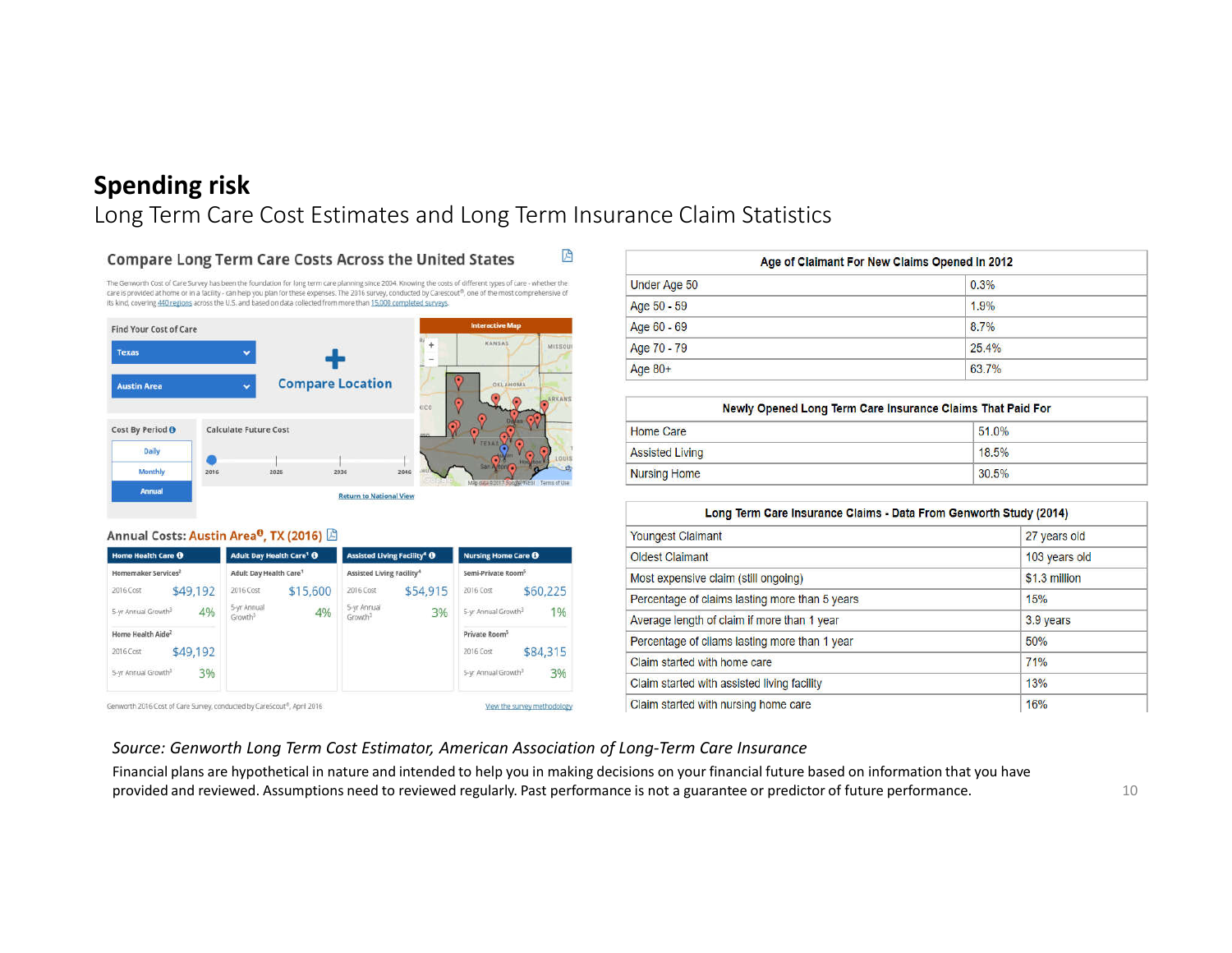#### Long Term Care Cost Estimates and Long Term Insurance Claim Statistics

因

#### **Compare Long Term Care Costs Across the United States**

The Genworth Cost of Care Survey has been the foundation for long term care planning since 2004. Knowing the costs of different types of care - whether the care is provided at home or in a facility - can help you plan for these expenses. The 2016 survey, conducted by Carescout®, one of the most comprehensive of its kind, covering 440 regions across the U.S. and based on data collected from more than 15,000 completed surveys.



#### Annual Costs: Austin Area<sup>0</sup>, TX (2016) **B**

| Home Health Care O                                                                              | <b>Adult Day Health Care<sup>1</sup> O</b>                        | <b>Assisted Living Facility<sup>4</sup> O</b>                     | <b>Nursing Home Care O</b><br>Semi-Private Room <sup>5</sup>                                |  |
|-------------------------------------------------------------------------------------------------|-------------------------------------------------------------------|-------------------------------------------------------------------|---------------------------------------------------------------------------------------------|--|
| Homemaker Services <sup>2</sup>                                                                 | Adult Day Health Care <sup>1</sup>                                | Assisted Living Facility <sup>4</sup>                             |                                                                                             |  |
| \$49,192<br>2016 Cost<br>4%<br>5-yr Annual Growth <sup>3</sup>                                  | \$15,600<br>2016 Cost<br>5-yr Annual<br>4%<br>Growth <sup>3</sup> | \$54.915<br>2016 Cost<br>5-yr Annual<br>3%<br>Growth <sup>3</sup> | \$60,225<br>2016 Cost<br>1%<br>5-yr Annual Growth <sup>3</sup>                              |  |
| Home Health Aide <sup>2</sup><br>\$49,192<br>2016 Cost<br>3%<br>5-yr Annual Growth <sup>3</sup> |                                                                   |                                                                   | Private Room <sup>5</sup><br>\$84,315<br>2016 Cost<br>3%<br>5-yr Annual Growth <sup>3</sup> |  |

| Age of Claimant For New Claims Opened In 2012 |       |  |
|-----------------------------------------------|-------|--|
| Under Age 50                                  | 0.3%  |  |
| Age 50 - 59                                   | 1.9%  |  |
| Age 60 - 69                                   | 8.7%  |  |
| Age 70 - 79                                   | 25.4% |  |
| Age 80+                                       | 63.7% |  |

|                        | Newly Opened Long Term Care Insurance Claims That Paid For |  |
|------------------------|------------------------------------------------------------|--|
| <b>Home Care</b>       | 51.0%                                                      |  |
| <b>Assisted Living</b> | 18.5%                                                      |  |
| <b>Nursing Home</b>    | 30.5%                                                      |  |

| Long Term Care Insurance Claims - Data From Genworth Study (2014) |               |
|-------------------------------------------------------------------|---------------|
| <b>Youngest Claimant</b>                                          | 27 years old  |
| <b>Oldest Claimant</b>                                            | 103 years old |
| Most expensive claim (still ongoing)                              | \$1.3 million |
| Percentage of claims lasting more than 5 years                    | 15%           |
| Average length of claim if more than 1 year                       | 3.9 years     |
| Percentage of cliams lasting more than 1 year                     | 50%           |
| Claim started with home care                                      | 71%           |
| Claim started with assisted living facility                       | 13%           |
| Claim started with nursing home care                              | 16%           |

#### *Source: Genworth Long Term Cost Estimator, American Association of Long-Term Care Insurance*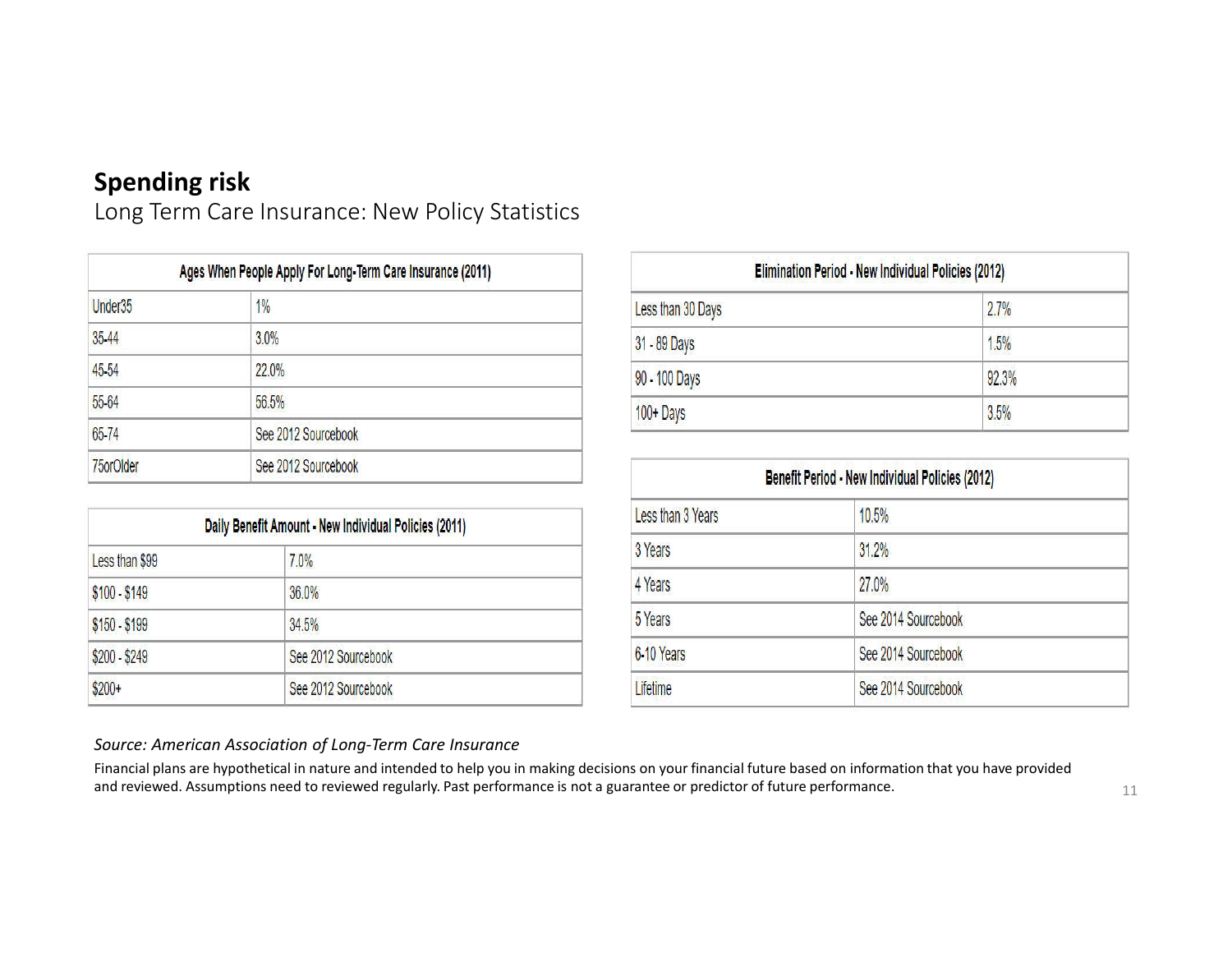Long Term Care Insurance: New Policy Statistics

| Ages When People Apply For Long-Term Care Insurance (2011) |                     |  |
|------------------------------------------------------------|---------------------|--|
| Under35                                                    | 1%                  |  |
| 35-44                                                      | 3.0%                |  |
| 45-54                                                      | 22.0%               |  |
| 55-64                                                      | 56.5%               |  |
| 65-74                                                      | See 2012 Sourcebook |  |
| 75orOlder                                                  | See 2012 Sourcebook |  |

| Daily Benefit Amount - New Individual Policies (2011) |                     |  |
|-------------------------------------------------------|---------------------|--|
| Less than \$99                                        | 7.0%                |  |
| $$100 - $149$                                         | 36.0%               |  |
| \$150 - \$199                                         | 34.5%               |  |
| \$200 - \$249                                         | See 2012 Sourcebook |  |
| $$200+$                                               | See 2012 Sourcebook |  |

| Elimination Period - New Individual Policies (2012) |       |  |
|-----------------------------------------------------|-------|--|
| Less than 30 Days                                   | 2.7%  |  |
| 31 - 89 Days                                        | 1.5%  |  |
| 90 - 100 Days                                       | 92.3% |  |
| 100+Days                                            | 3.5%  |  |

| Benefit Period - New Individual Policies (2012) |                     |  |
|-------------------------------------------------|---------------------|--|
| Less than 3 Years                               | 10.5%               |  |
| 3 Years                                         | 31.2%               |  |
| 4 Years                                         | 27.0%               |  |
| 5 Years                                         | See 2014 Sourcebook |  |
| 6-10 Years                                      | See 2014 Sourcebook |  |
| Lifetime                                        | See 2014 Sourcebook |  |

#### *Source: American Association of Long-Term Care Insurance*